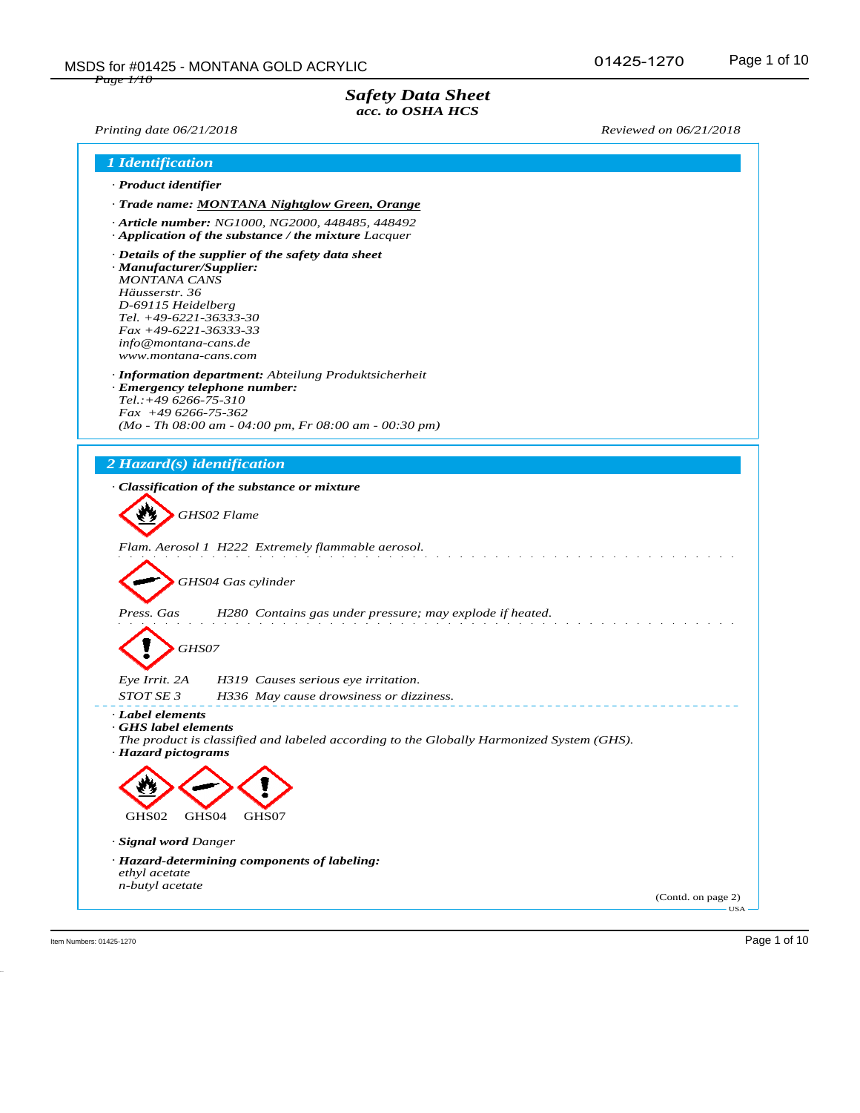## *Safety Data Sheet acc. to OSHA HCS*

*Printing date 06/21/2018 Reviewed on 06/21/2018*

|                                                                                                                                                                                                 | 1 Identification                                                                                               |
|-------------------------------------------------------------------------------------------------------------------------------------------------------------------------------------------------|----------------------------------------------------------------------------------------------------------------|
| · Product identifier                                                                                                                                                                            |                                                                                                                |
|                                                                                                                                                                                                 | · Trade name: MONTANA Nightglow Green, Orange                                                                  |
|                                                                                                                                                                                                 | · Article number: NG1000, NG2000, 448485, 448492<br>$\cdot$ Application of the substance / the mixture Lacquer |
| · Manufacturer/Supplier:<br><b>MONTANA CANS</b><br>Häusserstr. 36<br>D-69115 Heidelberg<br>Tel. $+49-6221-36333-30$<br>$Fax + 49-6221-36333-33$<br>info@montana-cans.de<br>www.montana-cans.com | $\cdot$ Details of the supplier of the safety data sheet                                                       |
|                                                                                                                                                                                                 | · Information department: Abteilung Produktsicherheit                                                          |
| $Tel.:+496266-75-310$                                                                                                                                                                           | · Emergency telephone number:                                                                                  |
| $Fax +496266-75-362$                                                                                                                                                                            |                                                                                                                |
|                                                                                                                                                                                                 | $(Mo - Th 08:00 am - 04:00 pm, Fr 08:00 am - 00:30 pm)$                                                        |
|                                                                                                                                                                                                 |                                                                                                                |
| 2 Hazard(s) identification                                                                                                                                                                      |                                                                                                                |
|                                                                                                                                                                                                 | · Classification of the substance or mixture                                                                   |
|                                                                                                                                                                                                 |                                                                                                                |
|                                                                                                                                                                                                 |                                                                                                                |
|                                                                                                                                                                                                 | GHS02 Flame                                                                                                    |
|                                                                                                                                                                                                 |                                                                                                                |
|                                                                                                                                                                                                 | Flam. Aerosol 1 H222 Extremely flammable aerosol.                                                              |
|                                                                                                                                                                                                 |                                                                                                                |
|                                                                                                                                                                                                 |                                                                                                                |
|                                                                                                                                                                                                 | GHS04 Gas cylinder                                                                                             |
| Press. Gas                                                                                                                                                                                      | H280 Contains gas under pressure; may explode if heated.                                                       |
|                                                                                                                                                                                                 |                                                                                                                |
|                                                                                                                                                                                                 |                                                                                                                |
| GHS07                                                                                                                                                                                           |                                                                                                                |
| Eye Irrit. 2A                                                                                                                                                                                   | H319 Causes serious eye irritation.                                                                            |
| STOT SE 3                                                                                                                                                                                       | H336 May cause drowsiness or dizziness.                                                                        |
| · Label elements                                                                                                                                                                                |                                                                                                                |
|                                                                                                                                                                                                 |                                                                                                                |
| GHS label elements                                                                                                                                                                              | The product is classified and labeled according to the Globally Harmonized System (GHS).                       |
| · Hazard pictograms                                                                                                                                                                             |                                                                                                                |
|                                                                                                                                                                                                 |                                                                                                                |
|                                                                                                                                                                                                 |                                                                                                                |
| GHS02                                                                                                                                                                                           | GHS04<br>GHS07                                                                                                 |
|                                                                                                                                                                                                 |                                                                                                                |
| · Signal word Danger                                                                                                                                                                            |                                                                                                                |
|                                                                                                                                                                                                 | · Hazard-determining components of labeling:                                                                   |
| ethyl acetate<br>n-butyl acetate                                                                                                                                                                |                                                                                                                |

Item Numbers: 01425-1270 Page 1 of 10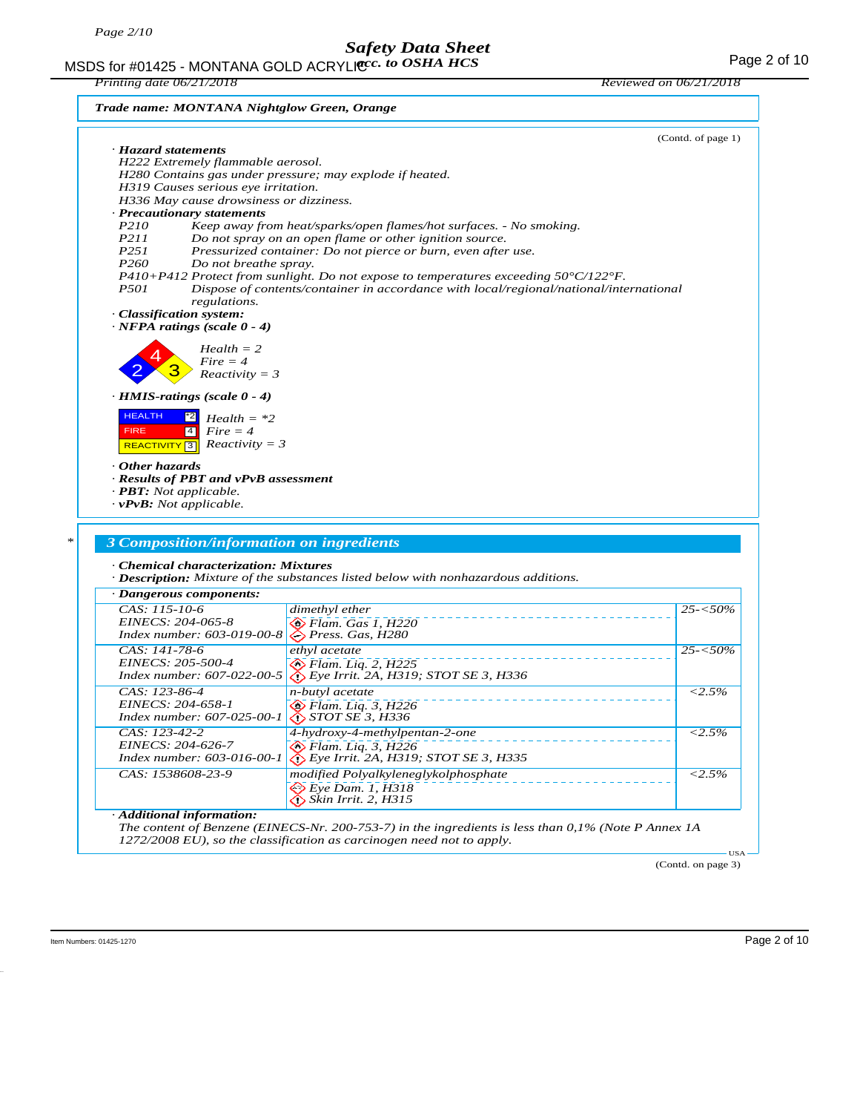MSDS for #01425 - MONTANA GOLD ACRYLIC  $cc.$  to OSHA HCS For the state of 10 MSDS for #01425 - MONTANA GOLD ACRYLIC  $cc.$  to OSHA HCS *acc. to OSHA HCS*

*Printing date 06/21/2018 Reviewed on 06/21/2018*

*Trade name: MONTANA Nightglow Green, Orange*

| · Hazard statements                                                                                           |                                                                                                           | (Contd. of page 1)                                                  |
|---------------------------------------------------------------------------------------------------------------|-----------------------------------------------------------------------------------------------------------|---------------------------------------------------------------------|
| H222 Extremely flammable aerosol.                                                                             |                                                                                                           |                                                                     |
|                                                                                                               | H280 Contains gas under pressure; may explode if heated.                                                  |                                                                     |
| H319 Causes serious eye irritation.                                                                           |                                                                                                           |                                                                     |
| H336 May cause drowsiness or dizziness.                                                                       |                                                                                                           |                                                                     |
| · Precautionary statements                                                                                    |                                                                                                           |                                                                     |
| P210                                                                                                          | Keep away from heat/sparks/open flames/hot surfaces. - No smoking.                                        |                                                                     |
| P211<br>P251                                                                                                  | Do not spray on an open flame or other ignition source.                                                   |                                                                     |
| P <sub>260</sub><br>Do not breathe spray.                                                                     | Pressurized container: Do not pierce or burn, even after use.                                             |                                                                     |
|                                                                                                               | P410+P412 Protect from sunlight. Do not expose to temperatures exceeding $50^{\circ}$ C/122 $^{\circ}$ F. |                                                                     |
| <i>P501</i>                                                                                                   | Dispose of contents/container in accordance with local/regional/national/international                    |                                                                     |
| regulations.                                                                                                  |                                                                                                           |                                                                     |
| · Classification system:<br>$\cdot$ NFPA ratings (scale 0 - 4)                                                |                                                                                                           |                                                                     |
| $Health = 2$                                                                                                  |                                                                                                           |                                                                     |
| $Fire = 4$                                                                                                    |                                                                                                           |                                                                     |
| $Reactivity = 3$                                                                                              |                                                                                                           |                                                                     |
| $\cdot$ HMIS-ratings (scale 0 - 4)                                                                            |                                                                                                           |                                                                     |
|                                                                                                               |                                                                                                           |                                                                     |
| <b>HEALTH</b><br>$Health = *2$                                                                                |                                                                                                           |                                                                     |
| <b>FIRE</b><br>$\vert 4 \vert$<br>$Fire = 4$                                                                  |                                                                                                           |                                                                     |
| $Reactivity = 3$<br><b>REACTIVITY</b> 3                                                                       |                                                                                                           |                                                                     |
| · Results of PBT and vPvB assessment<br>$\cdot$ <b>PBT</b> : Not applicable.<br>$\cdot$ vPvB: Not applicable. |                                                                                                           |                                                                     |
| 3 Composition/information on ingredients                                                                      |                                                                                                           |                                                                     |
| · Chemical characterization: Mixtures                                                                         | · Description: Mixture of the substances listed below with nonhazardous additions.                        |                                                                     |
| · Dangerous components:                                                                                       |                                                                                                           |                                                                     |
| CAS: 115-10-6                                                                                                 | dimethyl ether                                                                                            |                                                                     |
| EINECS: 204-065-8                                                                                             | ◇ Flam. Gas 1, H220                                                                                       |                                                                     |
| Index number: 603-019-00-8                                                                                    | Press. Gas, H280                                                                                          |                                                                     |
| CAS: 141-78-6                                                                                                 | ethyl acetate                                                                                             |                                                                     |
| EINECS: 205-500-4                                                                                             | $\diamondsuit$ Flam. Lig. 2, H225                                                                         |                                                                     |
| Index number: 607-022-00-5                                                                                    | $\bigotimes$ Eye Irrit. 2A, H319; STOT SE 3, H336                                                         |                                                                     |
| CAS: 123-86-4                                                                                                 | n-butyl acetate                                                                                           |                                                                     |
| EINECS: 204-658-1<br>Index number: 607-025-00-1                                                               | $\diamondsuit$ Flam. Liq. 3, H226<br>$\bigotimes$ STOT SE 3, H336                                         |                                                                     |
| $CAS: 123-42-2$                                                                                               |                                                                                                           |                                                                     |
|                                                                                                               | 4-hydroxy-4-methylpentan-2-one                                                                            |                                                                     |
| EINECS: 204-626-7<br>Index number: 603-016-00-1                                                               | <b>◆ Flam. Liq. 3, H226</b><br>Eye Irrit. 2A, H319; STOT SE 3, H335                                       |                                                                     |
| CAS: 1538608-23-9                                                                                             | modified Polyalkyleneglykolphosphate                                                                      |                                                                     |
|                                                                                                               | <b>Eye Dam. 1, H318</b>                                                                                   |                                                                     |
|                                                                                                               | $\diamond$ Skin Irrit. 2, H315                                                                            | $25 - 50\%$<br>$25 - 50\%$<br>${<}2.5\%$<br>${<}2.5\%$<br>$< 2.5\%$ |
| · Additional information:                                                                                     | The content of Benzene (EINECS-Nr. 200-753-7) in the ingredients is less than $0.1\%$ (Note P Annex 1A    |                                                                     |

(Contd. on page 3)

Item Numbers: 01425-1270 Page 2 of 10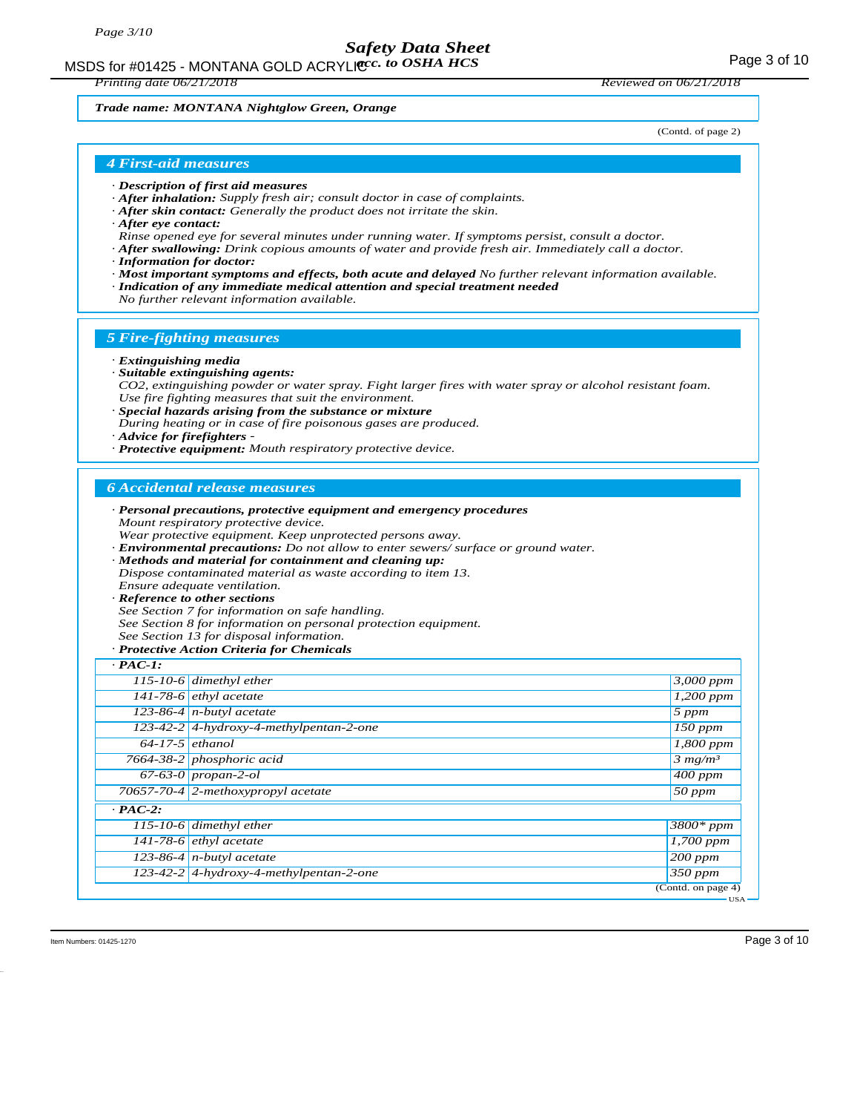MSDS for #01425 - MONTANA GOLD ACRYLICC. to OSHA HCS **Acceleration of the CONTANA COLD** ACRYLIC COSHA HCS

*Printing date 06/21/2018 Reviewed on 06/21/2018*

#### *Trade name: MONTANA Nightglow Green, Orange*

(Contd. of page 2)

### *4 First-aid measures*

- *· Description of first aid measures*
- *· After inhalation: Supply fresh air; consult doctor in case of complaints.*
- *· After skin contact: Generally the product does not irritate the skin.*
- *· After eye contact:*
- *Rinse opened eye for several minutes under running water. If symptoms persist, consult a doctor.*
- *· After swallowing: Drink copious amounts of water and provide fresh air. Immediately call a doctor.*
- *· Information for doctor:*
- *· Most important symptoms and effects, both acute and delayed No further relevant information available.*
- *· Indication of any immediate medical attention and special treatment needed*
- *No further relevant information available.*

### *5 Fire-fighting measures*

#### *· Extinguishing media*

- *· Suitable extinguishing agents:*
- *CO2, extinguishing powder or water spray. Fight larger fires with water spray or alcohol resistant foam. Use fire fighting measures that suit the environment.*
- *· Special hazards arising from the substance or mixture*
- *During heating or in case of fire poisonous gases are produced.*
- *· Advice for firefighters*
- *· Protective equipment: Mouth respiratory protective device.*

## *6 Accidental release measures*

- *· Personal precautions, protective equipment and emergency procedures Mount respiratory protective device. Wear protective equipment. Keep unprotected persons away.*
- *· Environmental precautions: Do not allow to enter sewers/ surface or ground water.*
- *· Methods and material for containment and cleaning up: Dispose contaminated material as waste according to item 13. Ensure adequate ventilation.*

#### *· Reference to other sections*

*See Section 7 for information on safe handling. See Section 8 for information on personal protection equipment. See Section 13 for disposal information.*

#### *· Protective Action Criteria for Chemicals*

| $\cdot$ PAC-1:    |                                           |                      |
|-------------------|-------------------------------------------|----------------------|
|                   | 115-10-6 dimethyl ether                   | 3,000 ppm            |
|                   | 141-78-6 $ethyl$ acetate                  | $1,200$ ppm          |
|                   | 123-86-4 $n$ -butyl acetate               | 5 ppm                |
|                   | 123-42-2 4-hydroxy-4-methylpentan-2-one   | $150$ ppm            |
| $64-17-5$ ethanol |                                           | 1,800 ppm            |
|                   | 7664-38-2 phosphoric acid                 | 3 mg/m <sup>3</sup>  |
|                   | $67-63-0$ propan-2-ol                     | $\overline{400}$ ppm |
|                   | 70657-70-4 2-methoxypropyl acetate        | $50$ ppm             |
| $\cdot$ PAC-2:    |                                           |                      |
|                   | 115-10-6 dimethyl ether                   | 3800* ppm            |
|                   | 141-78-6 $ethyl$ acetate                  | $1,700$ ppm          |
|                   | $123-86-4$ n-butyl acetate                | $200$ ppm            |
|                   | $123-42-2$ 4-hydroxy-4-methylpentan-2-one | $350$ ppm            |
|                   |                                           | (Contd. on page 4)   |
|                   |                                           | <b>USA</b>           |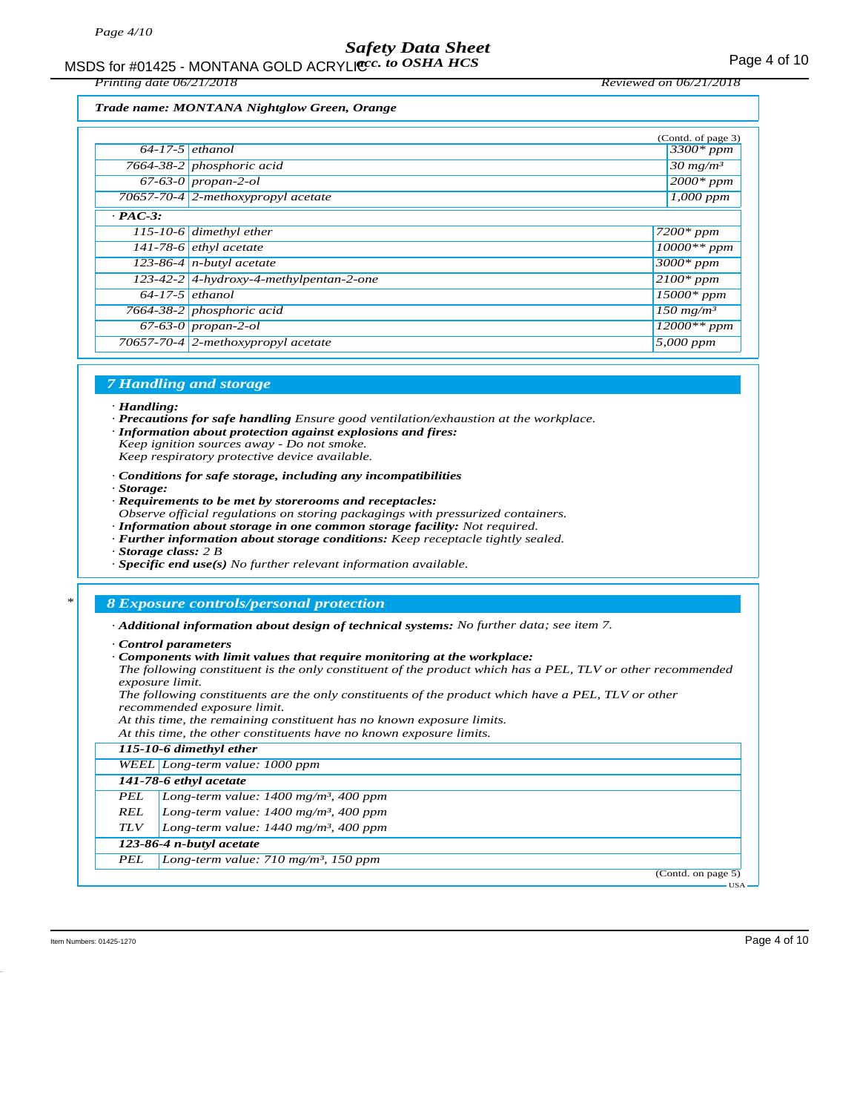*Printing date 06/21/2018 Reviewed on 06/21/2018*

#### *Trade name: MONTANA Nightglow Green, Orange*

|                   |                                           | (Contd. of page 3)                 |
|-------------------|-------------------------------------------|------------------------------------|
| $64-17-5$ ethanol |                                           | $3300*ppm$                         |
|                   | 7664-38-2 phosphoric acid                 | $30 \frac{mg}{m^3}$                |
|                   | $67-63-0$ propan-2-ol                     | $2000*$ ppm                        |
|                   | 70657-70-4 2-methoxypropyl acetate        | $1,000$ ppm                        |
| $\cdot$ PAC-3:    |                                           |                                    |
|                   | 115-10-6 dimethyl ether                   | $7200*ppm$                         |
|                   | $141-78-6$ ethyl acetate                  | $10000**$ ppm                      |
|                   | 123-86-4 $n$ -butyl acetate               | $3000*$ ppm                        |
|                   | $123-42-2$ 4-hydroxy-4-methylpentan-2-one | $2100*$ ppm                        |
| $64-17-5$ ethanol |                                           | $15000*$ ppm                       |
|                   | 7664-38-2 phosphoric acid                 | $\overline{150}$ mg/m <sup>3</sup> |
|                   | $67-63-0$ propan-2-ol                     | $12000**$ ppm                      |
|                   | 70657-70-4 2-methoxypropyl acetate        | 5,000 ppm                          |
|                   |                                           |                                    |

#### *7 Handling and storage*

#### *· Handling:*

- *· Precautions for safe handling Ensure good ventilation/exhaustion at the workplace.*
- *· Information about protection against explosions and fires:*

*Keep ignition sources away - Do not smoke. Keep respiratory protective device available.*

- *· Conditions for safe storage, including any incompatibilities*
- *· Storage:*
- *· Requirements to be met by storerooms and receptacles:*
- *Observe official regulations on storing packagings with pressurized containers.*
- *· Information about storage in one common storage facility: Not required.*
- *· Further information about storage conditions: Keep receptacle tightly sealed.*
- *· Storage class: 2 B*
- *· Specific end use(s) No further relevant information available.*

#### *\* 8 Exposure controls/personal protection*

*· Additional information about design of technical systems: No further data; see item 7.*

*· Control parameters*

*· Components with limit values that require monitoring at the workplace:*

*The following constituent is the only constituent of the product which has a PEL, TLV or other recommended exposure limit.*

*The following constituents are the only constituents of the product which have a PEL, TLV or other recommended exposure limit.*

*At this time, the remaining constituent has no known exposure limits.*

*At this time, the other constituents have no known exposure limits. 115-10-6 dimethyl ether WEEL Long-term value: 1000 ppm 141-78-6 ethyl acetate PEL Long-term value: 1400 mg/m³, 400 ppm REL Long-term value: 1400 mg/m³, 400 ppm TLV Long-term value: 1440 mg/m³, 400 ppm 123-86-4 n-butyl acetate PEL Long-term value: 710 mg/m³, 150 ppm* (Contd. on page 5) USA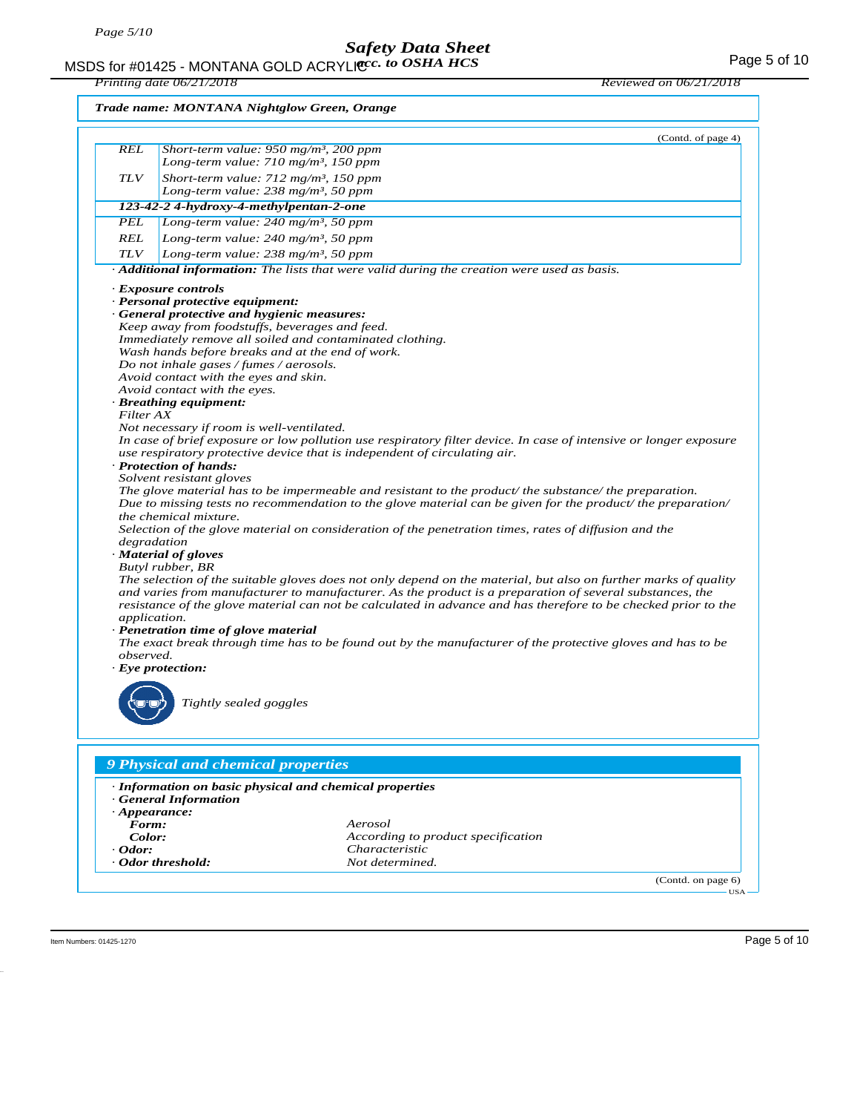MSDS for #01425 - MONTANA GOLD ACRYLIC  $cc.$  to OSHA HCS For the state of the state of the Page 5 of 10 *acc. to OSHA HCS*

*Printing date 06/21/2018 Reviewed on 06/21/2018*

|                     | (Contd. of page 4)                                                                                                                                             |
|---------------------|----------------------------------------------------------------------------------------------------------------------------------------------------------------|
| <b>REL</b>          | Short-term value: $950$ mg/m <sup>3</sup> , 200 ppm                                                                                                            |
|                     | Long-term value: 710 mg/m <sup>3</sup> , 150 ppm                                                                                                               |
| <b>TLV</b>          | Short-term value: $712$ mg/m <sup>3</sup> , 150 ppm                                                                                                            |
|                     | Long-term value: $238$ mg/m <sup>3</sup> , 50 ppm                                                                                                              |
|                     | 123-42-2 4-hydroxy-4-methylpentan-2-one                                                                                                                        |
| PEL                 | Long-term value: 240 mg/m <sup>3</sup> , 50 ppm                                                                                                                |
| <b>REL</b>          | Long-term value: 240 mg/m <sup>3</sup> , 50 ppm                                                                                                                |
| <b>TLV</b>          | Long-term value: $238$ mg/m <sup>3</sup> , 50 ppm                                                                                                              |
|                     | Additional information: The lists that were valid during the creation were used as basis.                                                                      |
|                     | · Exposure controls                                                                                                                                            |
|                     | · Personal protective equipment:                                                                                                                               |
|                     | General protective and hygienic measures:                                                                                                                      |
|                     | Keep away from foodstuffs, beverages and feed.                                                                                                                 |
|                     | Immediately remove all soiled and contaminated clothing.                                                                                                       |
|                     | Wash hands before breaks and at the end of work.                                                                                                               |
|                     | Do not inhale gases / fumes / aerosols.                                                                                                                        |
|                     | Avoid contact with the eyes and skin.                                                                                                                          |
|                     | Avoid contact with the eyes.                                                                                                                                   |
|                     | · Breathing equipment:                                                                                                                                         |
| Filter AX           |                                                                                                                                                                |
|                     | Not necessary if room is well-ventilated.<br>In case of brief exposure or low pollution use respiratory filter device. In case of intensive or longer exposure |
|                     | use respiratory protective device that is independent of circulating air.                                                                                      |
|                     | · Protection of hands:                                                                                                                                         |
|                     | Solvent resistant gloves                                                                                                                                       |
|                     | The glove material has to be impermeable and resistant to the product/ the substance/ the preparation.                                                         |
|                     | Due to missing tests no recommendation to the glove material can be given for the product/ the preparation/                                                    |
|                     | <i>the chemical mixture.</i>                                                                                                                                   |
|                     | Selection of the glove material on consideration of the penetration times, rates of diffusion and the                                                          |
|                     | degradation                                                                                                                                                    |
|                     | · Material of gloves                                                                                                                                           |
|                     | Butyl rubber, BR                                                                                                                                               |
|                     | The selection of the suitable gloves does not only depend on the material, but also on further marks of quality                                                |
|                     | and varies from manufacturer to manufacturer. As the product is a preparation of several substances, the                                                       |
|                     | resistance of the glove material can not be calculated in advance and has therefore to be checked prior to the                                                 |
| <i>application.</i> |                                                                                                                                                                |
|                     | · Penetration time of glove material                                                                                                                           |
|                     | The exact break through time has to be found out by the manufacturer of the protective gloves and has to be                                                    |
| observed.           |                                                                                                                                                                |
|                     | $\cdot$ Eye protection:                                                                                                                                        |
|                     |                                                                                                                                                                |
|                     |                                                                                                                                                                |
|                     | Tightly sealed goggles                                                                                                                                         |
|                     |                                                                                                                                                                |
|                     |                                                                                                                                                                |
|                     |                                                                                                                                                                |
|                     |                                                                                                                                                                |
|                     | 9 Physical and chemical properties                                                                                                                             |
|                     |                                                                                                                                                                |
|                     | · Information on basic physical and chemical properties                                                                                                        |
|                     | <b>General Information</b>                                                                                                                                     |
|                     | $\cdot$ Appearance:                                                                                                                                            |
| Form:               | Aerosol                                                                                                                                                        |
| Color:              | According to product specification                                                                                                                             |
| $\cdot$ Odor:       | Characteristic<br>Not determined.<br>· Odor threshold:                                                                                                         |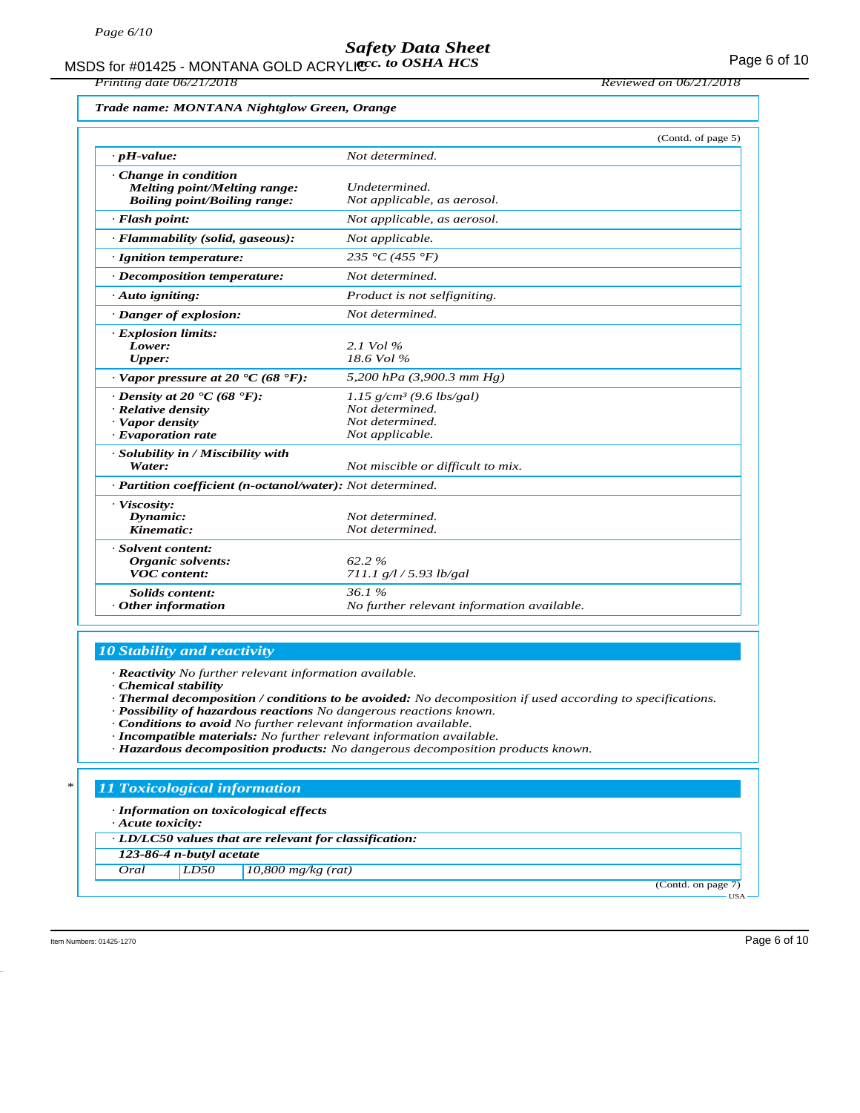MSDS for #01425 - MONTANA GOLD ACRYLICC. to OSHA HCS **Acceleration of the CONTANA COLD** ACRYLIC COSHA HCS

*Printing date 06/21/2018 Reviewed on 06/21/2018*

|                                                        |                                        | (Contd. of page |
|--------------------------------------------------------|----------------------------------------|-----------------|
| $\cdot$ pH-value:                                      | Not determined.                        |                 |
| $\cdot$ Change in condition                            |                                        |                 |
| <b>Melting point/Melting range:</b>                    | Undetermined.                          |                 |
| <b>Boiling point/Boiling range:</b>                    | Not applicable, as aerosol.            |                 |
| $\cdot$ Flash point:                                   | Not applicable, as aerosol.            |                 |
| · Flammability (solid, gaseous):                       | Not applicable.                        |                 |
| · Ignition temperature:                                | 235 °C (455 °F)                        |                 |
| · Decomposition temperature:                           | Not determined.                        |                 |
| $\cdot$ Auto igniting:                                 | Product is not selfigniting.           |                 |
| · Danger of explosion:                                 | Not determined.                        |                 |
| · Explosion limits:                                    |                                        |                 |
| Lower:                                                 | 2.1 Vol $\%$                           |                 |
| Upper:                                                 | $18.6$ Vol $\%$                        |                 |
| $\cdot$ Vapor pressure at 20 $\cdot$ C (68 $\cdot$ F): | 5,200 hPa (3,900.3 mm Hg)              |                 |
| $\cdot$ Density at 20 $\cdot$ C (68 $\cdot$ F):        | $1.15$ g/cm <sup>3</sup> (9.6 lbs/gal) |                 |
| · Relative density                                     | Not determined.                        |                 |
| · Vapor density                                        | Not determined.                        |                 |
| · Evaporation rate                                     | Not applicable.                        |                 |
| · Solubility in / Miscibility with                     |                                        |                 |
| Water:                                                 | Not miscible or difficult to mix.      |                 |

| <i>water:</i>                                                           | <i>NOU miscible or alfficult to mix.</i>            |  |
|-------------------------------------------------------------------------|-----------------------------------------------------|--|
| $\cdot$ <b>Partition coefficient (n-octanol/water):</b> Not determined. |                                                     |  |
| · Viscosity:<br>Dynamic:<br>Kinematic:                                  | Not determined.<br>Not determined.                  |  |
| · Solvent content:<br>Organic solvents:<br><b>VOC</b> content:          | $62.2 \%$<br>$711.1$ g/l / 5.93 lb/gal              |  |
| Solids content:<br>$\cdot$ Other information                            | 36.1%<br>No further relevant information available. |  |

## *10 Stability and reactivity*

*· Reactivity No further relevant information available.*

- *· Chemical stability*
- *· Thermal decomposition / conditions to be avoided: No decomposition if used according to specifications.*
- *· Possibility of hazardous reactions No dangerous reactions known.*
- *· Conditions to avoid No further relevant information available.*
- *· Incompatible materials: No further relevant information available.*
- *· Hazardous decomposition products: No dangerous decomposition products known.*

#### *\* 11 Toxicological information*

*· Information on toxicological effects*

*· Acute toxicity:*

*· LD/LC50 values that are relevant for classification:*

*123-86-4 n-butyl acetate*

*Oral LD50 10,800 mg/kg (rat)*

(Contd. on page 7) USA

Item Numbers: 01425-1270 Page 6 of 10

 $(5)$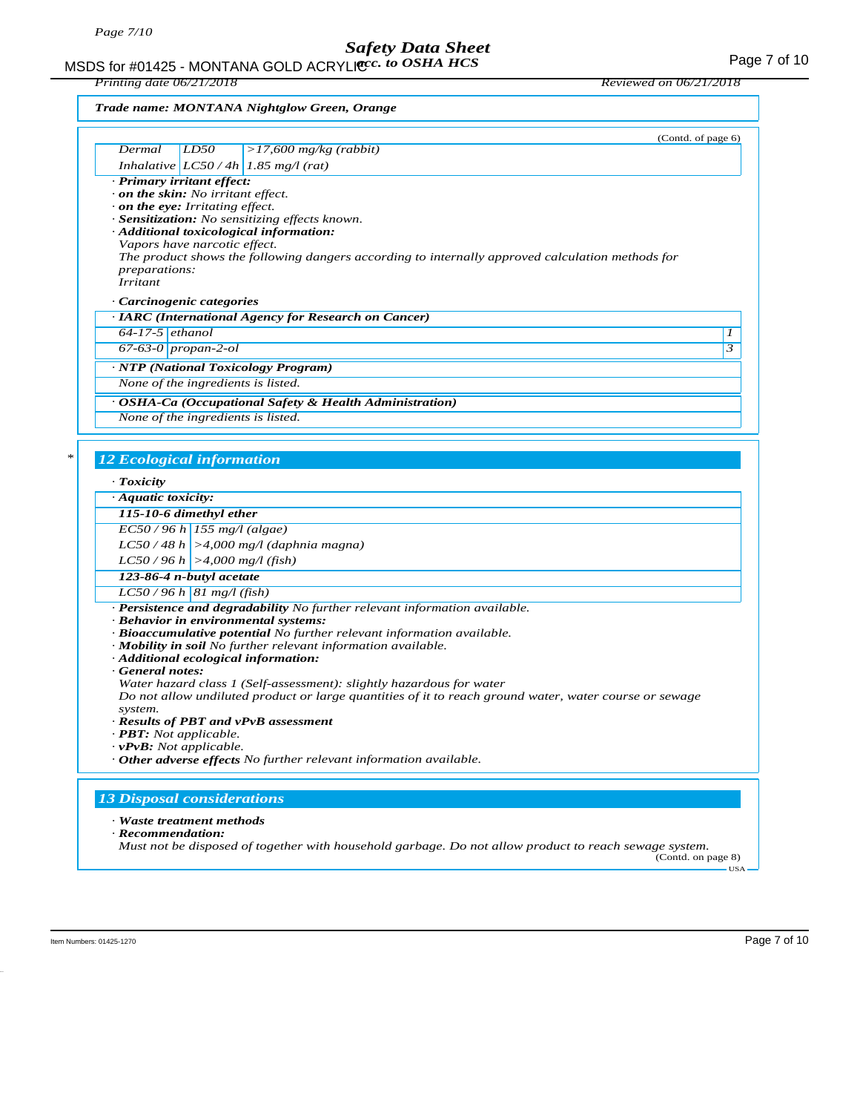MSDS for #01425 - MONTANA GOLD ACRYLIC  $cc.$  to OSHA HCS For the state of the state of the Page 7 of 10 *acc. to OSHA HCS*

*Printing date 06/21/2018 Reviewed on 06/21/2018*

| Trade name: MONTANA Nightglow Green, Orange |  |
|---------------------------------------------|--|
|---------------------------------------------|--|

|                                                                                         | (Contd. of page 6)                                                                                                                                                                                                                                                                                                                                                  |            |
|-----------------------------------------------------------------------------------------|---------------------------------------------------------------------------------------------------------------------------------------------------------------------------------------------------------------------------------------------------------------------------------------------------------------------------------------------------------------------|------------|
| Dermal                                                                                  | $>17,600$ mg/kg (rabbit)<br>LD50                                                                                                                                                                                                                                                                                                                                    |            |
| · Primary irritant effect:                                                              | Inhalative $LC50/4h$ 1.85 mg/l (rat)                                                                                                                                                                                                                                                                                                                                |            |
| <i>preparations:</i><br><i>Irritant</i><br>Carcinogenic categories<br>$64-17-5$ ethanol | on the skin: No irritant effect.<br>$\cdot$ on the eye: Irritating effect.<br>· Sensitization: No sensitizing effects known.<br>· Additional toxicological information:<br>Vapors have narcotic effect.<br>The product shows the following dangers according to internally approved calculation methods for<br>· IARC (International Agency for Research on Cancer) | 1          |
| 67-63-0 $propan-2-ol$                                                                   |                                                                                                                                                                                                                                                                                                                                                                     | 3          |
|                                                                                         | · NTP (National Toxicology Program)                                                                                                                                                                                                                                                                                                                                 |            |
|                                                                                         | None of the ingredients is listed.                                                                                                                                                                                                                                                                                                                                  |            |
|                                                                                         | · OSHA-Ca (Occupational Safety & Health Administration)                                                                                                                                                                                                                                                                                                             |            |
|                                                                                         | None of the ingredients is listed.                                                                                                                                                                                                                                                                                                                                  |            |
|                                                                                         |                                                                                                                                                                                                                                                                                                                                                                     |            |
| $\cdot$ Toxicity<br>$\cdot$ Aquatic toxicity:                                           |                                                                                                                                                                                                                                                                                                                                                                     |            |
| 115-10-6 dimethyl ether                                                                 |                                                                                                                                                                                                                                                                                                                                                                     |            |
|                                                                                         | $EC50/96 h$ 155 mg/l (algae)                                                                                                                                                                                                                                                                                                                                        |            |
|                                                                                         | $LC50/48 h$ >4,000 mg/l (daphnia magna)                                                                                                                                                                                                                                                                                                                             |            |
|                                                                                         | $LC50/96 h$ >4,000 mg/l (fish)                                                                                                                                                                                                                                                                                                                                      |            |
| 123-86-4 n-butyl acetate                                                                |                                                                                                                                                                                                                                                                                                                                                                     |            |
|                                                                                         | $LC50/96 h$ 81 mg/l (fish)                                                                                                                                                                                                                                                                                                                                          |            |
|                                                                                         | · Persistence and degradability No further relevant information available.<br>· Behavior in environmental systems:<br>· Bioaccumulative potential No further relevant information available.<br>· Mobility in soil No further relevant information available.<br>· Additional ecological information:                                                               |            |
| General notes:<br>system.<br>$\cdot$ <b>PBT</b> : Not applicable.                       | Water hazard class 1 (Self-assessment): slightly hazardous for water<br>Do not allow undiluted product or large quantities of it to reach ground water, water course or sewage<br>· Results of PBT and vPvB assessment                                                                                                                                              |            |
| $\cdot$ vPvB: Not applicable.                                                           | · Other adverse effects No further relevant information available.                                                                                                                                                                                                                                                                                                  |            |
|                                                                                         | <b>13 Disposal considerations</b>                                                                                                                                                                                                                                                                                                                                   |            |
| · Waste treatment methods<br>· Recommendation:                                          | Must not be disposed of together with household garbage. Do not allow product to reach sewage system.<br>(Contd. on page 8)                                                                                                                                                                                                                                         | <b>USA</b> |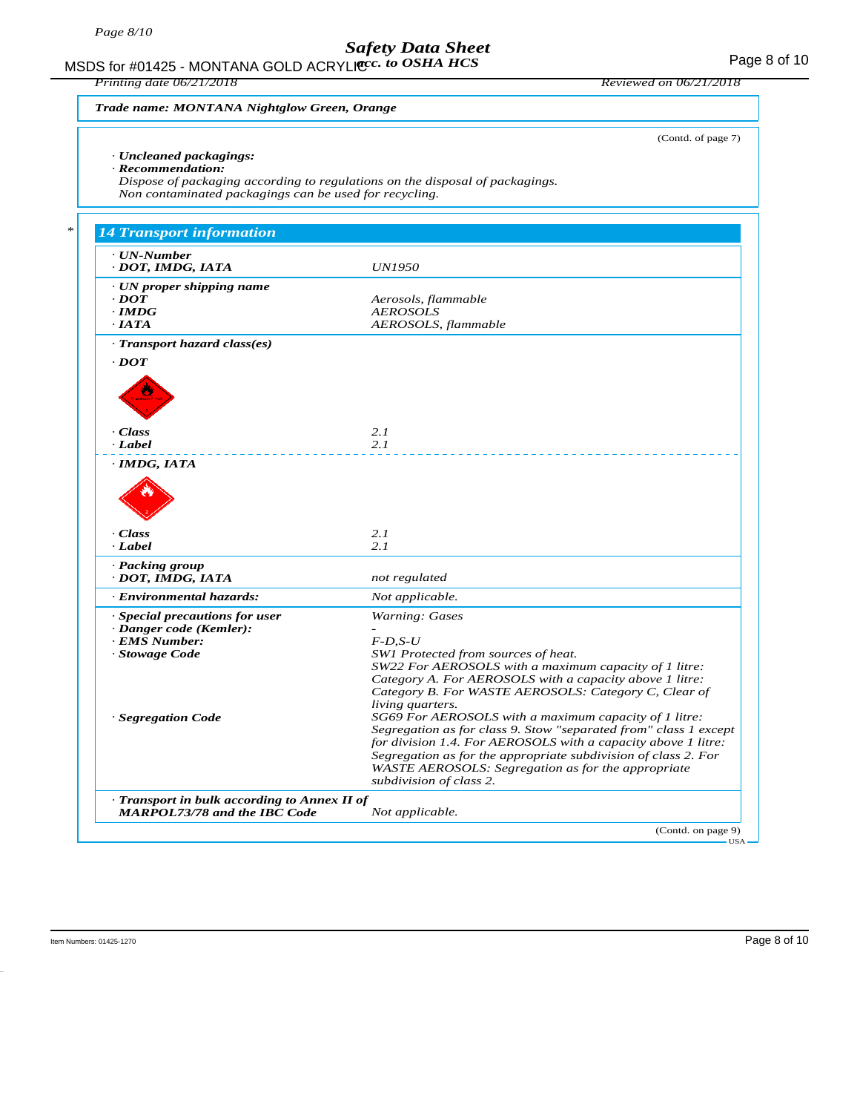MSDS for #01425 - MONTANA GOLD ACRYLICC. to OSHA HCS **Acceleration of the CONTANA COLD** ACRYLIC COSHA HCS

*Printing date 06/21/2018 Reviewed on 06/21/2018*

(Contd. of page 7)

*Trade name: MONTANA Nightglow Green, Orange*

### *· Uncleaned packagings:*

*· Recommendation:*

*Dispose of packaging according to regulations on the disposal of packagings. Non contaminated packagings can be used for recycling.*

| · UN-Number                                                |                                                                                                                                                                                                                                                                                                                    |
|------------------------------------------------------------|--------------------------------------------------------------------------------------------------------------------------------------------------------------------------------------------------------------------------------------------------------------------------------------------------------------------|
| · DOT, IMDG, IATA                                          | <b>UN1950</b>                                                                                                                                                                                                                                                                                                      |
| $\cdot$ UN proper shipping name                            |                                                                                                                                                                                                                                                                                                                    |
| $\cdot$ <i>DOT</i>                                         | Aerosols, flammable                                                                                                                                                                                                                                                                                                |
| $\cdot$ IMDG                                               | <b>AEROSOLS</b>                                                                                                                                                                                                                                                                                                    |
| $\cdot$ IATA                                               | AEROSOLS, flammable                                                                                                                                                                                                                                                                                                |
| · Transport hazard class(es)                               |                                                                                                                                                                                                                                                                                                                    |
| $\cdot$ <i>DOT</i>                                         |                                                                                                                                                                                                                                                                                                                    |
| · Class                                                    | 2.1                                                                                                                                                                                                                                                                                                                |
| · Label                                                    | 2.1                                                                                                                                                                                                                                                                                                                |
| · IMDG, IATA                                               |                                                                                                                                                                                                                                                                                                                    |
| · Class<br>· Label<br>· Packing group<br>· DOT, IMDG, IATA | 2.1<br>2.1                                                                                                                                                                                                                                                                                                         |
| · Environmental hazards:                                   | not regulated<br>Not applicable.                                                                                                                                                                                                                                                                                   |
|                                                            |                                                                                                                                                                                                                                                                                                                    |
| · Special precautions for user<br>· Danger code (Kemler):  | Warning: Gases                                                                                                                                                                                                                                                                                                     |
| <b>EMS Number:</b>                                         | $F$ -D,S-U                                                                                                                                                                                                                                                                                                         |
| · Stowage Code                                             | SW1 Protected from sources of heat.                                                                                                                                                                                                                                                                                |
|                                                            | SW22 For AEROSOLS with a maximum capacity of 1 litre:<br>Category A. For AEROSOLS with a capacity above 1 litre:<br>Category B. For WASTE AEROSOLS: Category C, Clear of<br>living quarters.                                                                                                                       |
| · Segregation Code                                         | SG69 For AEROSOLS with a maximum capacity of 1 litre:<br>Segregation as for class 9. Stow "separated from" class 1 except<br>for division 1.4. For AEROSOLS with a capacity above 1 litre:<br>Segregation as for the appropriate subdivision of class 2. For<br>WASTE AEROSOLS: Segregation as for the appropriate |
|                                                            | subdivision of class 2.                                                                                                                                                                                                                                                                                            |
| · Transport in bulk according to Annex II of               |                                                                                                                                                                                                                                                                                                                    |
| <b>MARPOL73/78 and the IBC Code</b>                        | Not applicable.                                                                                                                                                                                                                                                                                                    |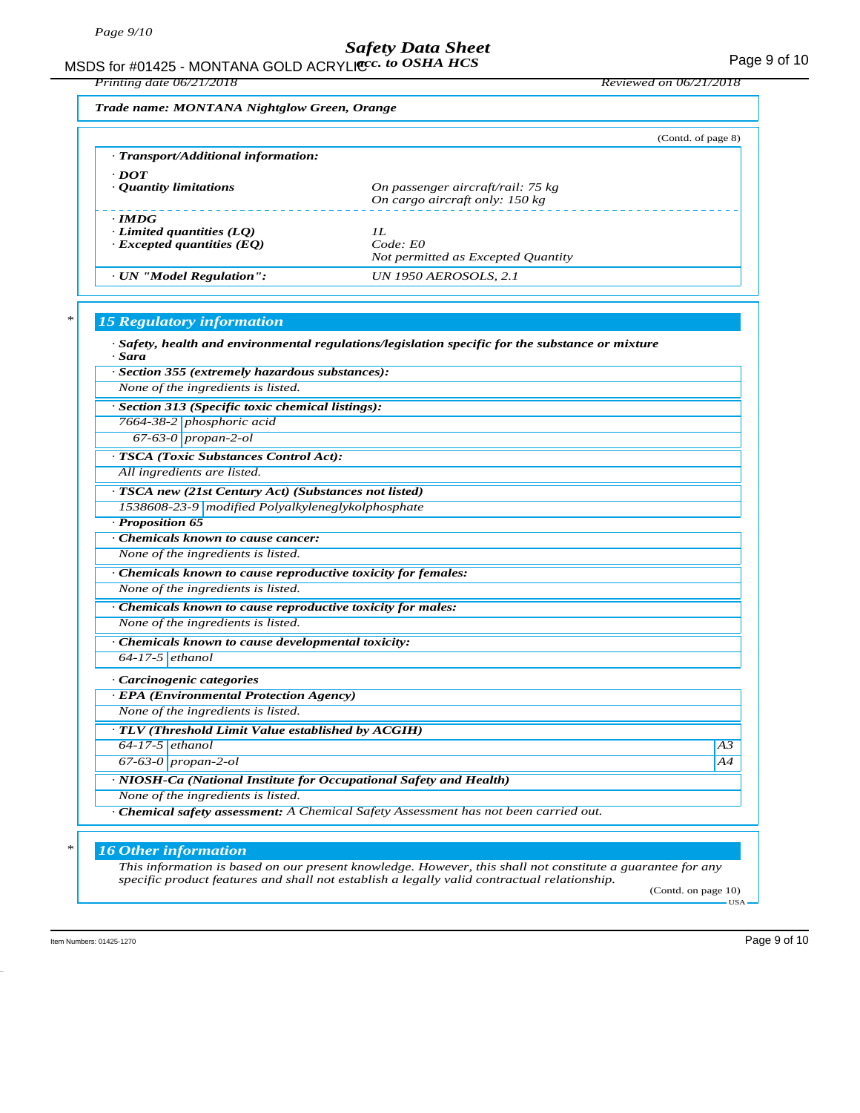MSDS for #01425 - MONTANA GOLD ACRYLIC  $cc.$  to OSHA HCS For the state of the state of the Page 9 of 10 *acc. to OSHA HCS*

*Printing date 06/21/2018 Reviewed on 06/21/2018*

*Trade name: MONTANA Nightglow Green, Orange*

|                                                                                     | (Contd. of page 8)                                                  |
|-------------------------------------------------------------------------------------|---------------------------------------------------------------------|
| · Transport/Additional information:                                                 |                                                                     |
| $\cdot$ DOT<br>• Quantity limitations                                               | On passenger aircraft/rail: 75 kg<br>On cargo aircraft only: 150 kg |
| $\cdot$ IMDG<br>$\cdot$ Limited quantities (LQ)<br>$\cdot$ Excepted quantities (EQ) | II.<br>$Code$ $E0$<br>Not permitted as Excepted Quantity            |
| · UN "Model Regulation":                                                            | <b>UN 1950 AEROSOLS, 2.1</b>                                        |

## *\* 15 Regulatory information*

| · Section 355 (extremely hazardous substances):                                      |    |
|--------------------------------------------------------------------------------------|----|
| None of the ingredients is listed.                                                   |    |
| · Section 313 (Specific toxic chemical listings):                                    |    |
| 7664-38-2 phosphoric acid                                                            |    |
| $67-63-0$ propan-2-ol                                                                |    |
| <b>TSCA</b> (Toxic Substances Control Act):                                          |    |
| All ingredients are listed.                                                          |    |
| · TSCA new (21st Century Act) (Substances not listed)                                |    |
| 1538608-23-9 modified Polyalkyleneglykolphosphate                                    |    |
| · Proposition 65                                                                     |    |
| Chemicals known to cause cancer:                                                     |    |
| None of the ingredients is listed.                                                   |    |
| Chemicals known to cause reproductive toxicity for females:                          |    |
| None of the ingredients is listed.                                                   |    |
| · Chemicals known to cause reproductive toxicity for males:                          |    |
| None of the ingredients is listed.                                                   |    |
| Chemicals known to cause developmental toxicity:                                     |    |
| $64-17-5$ ethanol                                                                    |    |
| · Carcinogenic categories                                                            |    |
| · EPA (Environmental Protection Agency)                                              |    |
| None of the ingredients is listed.                                                   |    |
| · TLV (Threshold Limit Value established by ACGIH)                                   |    |
| $64-17-5$ ethanol                                                                    | A3 |
| $67-63-0$ propan-2-ol                                                                | A4 |
| · NIOSH-Ca (National Institute for Occupational Safety and Health)                   |    |
| None of the ingredients is listed.                                                   |    |
| · Chemical safety assessment: A Chemical Safety Assessment has not been carried out. |    |

 $-<sub>USA</sub>$